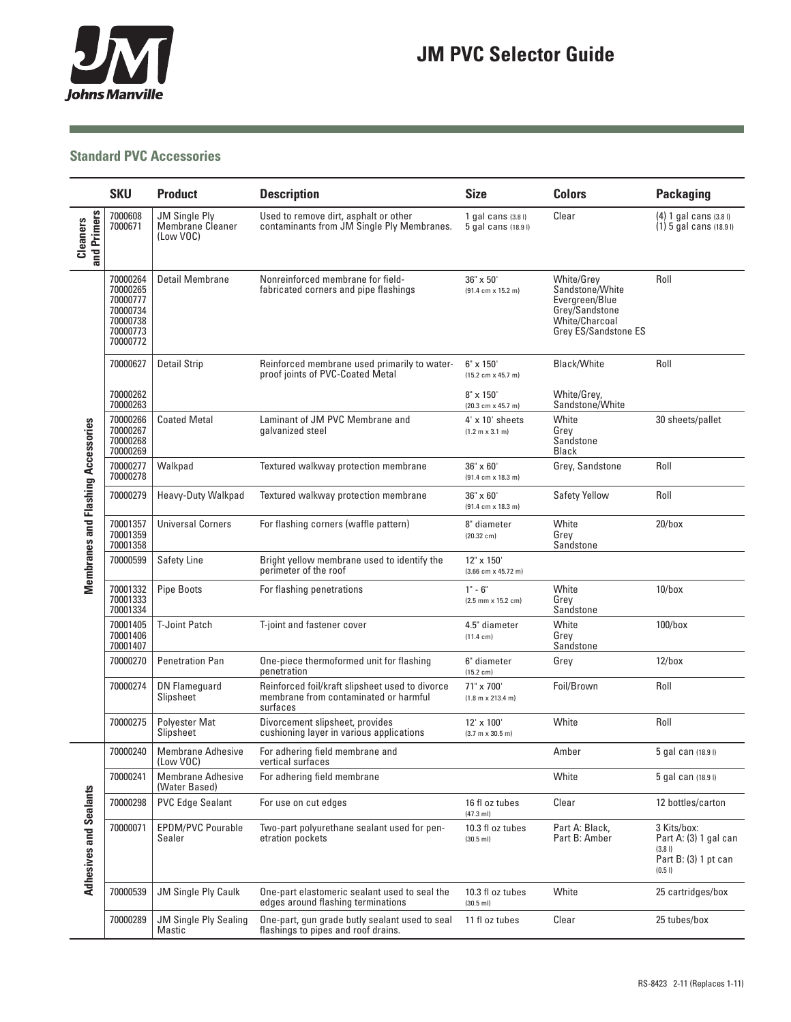

**Contract Contract Contract** 

a sa kacamatan ing Kabupatèn Kabupatèn Kabupatèn Kabupatèn Kabupatèn Kabupatèn Kabupatèn Kabupatèn Kabupatèn K

## **Standard PVC Accessories**

|                                           | <b>SKU</b>                                                                       | <b>Product</b>                                               | <b>Description</b>                                                                                   | <b>Size</b>                                      | <b>Colors</b>                                                                                               | <b>Packaging</b>                                                                |
|-------------------------------------------|----------------------------------------------------------------------------------|--------------------------------------------------------------|------------------------------------------------------------------------------------------------------|--------------------------------------------------|-------------------------------------------------------------------------------------------------------------|---------------------------------------------------------------------------------|
| and Primers<br>Cleaners                   | 7000608<br>7000671                                                               | <b>JM Single Ply</b><br><b>Membrane Cleaner</b><br>(Low VOC) | Used to remove dirt, asphalt or other<br>contaminants from JM Single Ply Membranes.                  | 1 gal cans $(3.81)$<br>5 gal cans (18.91)        | Clear                                                                                                       | $(4)$ 1 gal cans $(3.8)$<br>$(1)$ 5 gal cans $(18.91)$                          |
| <b>Membranes and Flashing Accessories</b> | 70000264<br>70000265<br>70000777<br>70000734<br>70000738<br>70000773<br>70000772 | Detail Membrane                                              | Nonreinforced membrane for field-<br>fabricated corners and pipe flashings                           | 36" x 50"<br>$(91.4 cm \times 15.2 m)$           | White/Grey<br>Sandstone/White<br>Evergreen/Blue<br>Grey/Sandstone<br>White/Charcoal<br>Grey ES/Sandstone ES | Roll                                                                            |
|                                           | 70000627                                                                         | <b>Detail Strip</b>                                          | Reinforced membrane used primarily to water-<br>proof joints of PVC-Coated Metal                     | $6" \times 150'$<br>$(15.2 cm \times 45.7 m)$    | <b>Black/White</b>                                                                                          | Roll                                                                            |
|                                           | 70000262<br>70000263                                                             |                                                              |                                                                                                      | $8" \times 150'$<br>$(20.3 cm \times 45.7 m)$    | White/Grey,<br>Sandstone/White                                                                              |                                                                                 |
|                                           | 70000266<br>70000267<br>70000268<br>70000269                                     | <b>Coated Metal</b>                                          | Laminant of JM PVC Membrane and<br>galvanized steel                                                  | $4' \times 10'$ sheets<br>$(1.2 m \times 3.1 m)$ | White<br>Grey<br>Sandstone<br>Black                                                                         | 30 sheets/pallet                                                                |
|                                           | 70000277<br>70000278                                                             | Walkpad                                                      | Textured walkway protection membrane                                                                 | $36" \times 60'$<br>$(91.4 cm \times 18.3 m)$    | Grey, Sandstone                                                                                             | Roll                                                                            |
|                                           | 70000279                                                                         | <b>Heavy-Duty Walkpad</b>                                    | Textured walkway protection membrane                                                                 | 36" x 60'<br>$(91.4 cm \times 18.3 m)$           | <b>Safety Yellow</b>                                                                                        | Roll                                                                            |
|                                           | 70001357<br>70001359<br>70001358                                                 | <b>Universal Corners</b>                                     | For flashing corners (waffle pattern)                                                                | 8" diameter<br>$(20.32 \text{ cm})$              | White<br>Grey<br>Sandstone                                                                                  | $20/b$ ox                                                                       |
|                                           | 70000599                                                                         | <b>Safety Line</b>                                           | Bright yellow membrane used to identify the<br>perimeter of the roof                                 | 12" x 150"<br>$(3.66$ cm x 45.72 m)              |                                                                                                             |                                                                                 |
|                                           | 70001332<br>70001333<br>70001334                                                 | <b>Pipe Boots</b>                                            | For flashing penetrations                                                                            | $1 - 6$<br>$(2.5$ mm $\times$ 15.2 cm)           | White<br>Grey<br>Sandstone                                                                                  | $10/b$ ox                                                                       |
|                                           | 70001405<br>70001406<br>70001407                                                 | <b>T-Joint Patch</b>                                         | T-joint and fastener cover                                                                           | 4.5" diameter<br>$(11.4 \text{ cm})$             | White<br>Grey<br>Sandstone                                                                                  | $100/b$ ox                                                                      |
|                                           | 70000270                                                                         | Penetration Pan                                              | One-piece thermoformed unit for flashing<br>penetration                                              | 6" diameter<br>$(15.2 \text{ cm})$               | Grey                                                                                                        | $12/b$ ox                                                                       |
|                                           | 70000274                                                                         | <b>DN Flameguard</b><br>Slipsheet                            | Reinforced foil/kraft slipsheet used to divorce<br>membrane from contaminated or harmful<br>surfaces | 71" x 700'<br>$(1.8 m \times 213.4 m)$           | Foil/Brown                                                                                                  | Roll                                                                            |
|                                           | 70000275                                                                         | <b>Polyester Mat</b><br>Slipsheet                            | Divorcement slipsheet, provides<br>cushioning layer in various applications                          | 12' x 100'<br>$(3.7 m \times 30.5 m)$            | White                                                                                                       | Roll                                                                            |
| <b>Adhesives and Sealants</b>             | 70000240                                                                         | <b>Membrane Adhesive</b><br>(Low VOC)                        | For adhering field membrane and<br>vertical surfaces                                                 |                                                  | Amber                                                                                                       | 5 gal can (18.9 l)                                                              |
|                                           | 70000241                                                                         | <b>Membrane Adhesive</b><br>(Water Based)                    | For adhering field membrane                                                                          |                                                  | White                                                                                                       | 5 gal can (18.91)                                                               |
|                                           | 70000298                                                                         | <b>PVC Edge Sealant</b>                                      | For use on cut edges                                                                                 | 16 fl oz tubes<br>$(47.3$ ml)                    | Clear                                                                                                       | 12 bottles/carton                                                               |
|                                           | 70000071                                                                         | <b>EPDM/PVC Pourable</b><br>Sealer                           | Two-part polyurethane sealant used for pen-<br>etration pockets                                      | 10.3 fl oz tubes<br>$(30.5$ ml)                  | Part A: Black,<br>Part B: Amber                                                                             | 3 Kits/box:<br>Part A: (3) 1 gal can<br>(3.8)<br>Part B: (3) 1 pt can<br>(0.51) |
|                                           | 70000539                                                                         | <b>JM Single Ply Caulk</b>                                   | One-part elastomeric sealant used to seal the<br>edges around flashing terminations                  | 10.3 fl oz tubes<br>$(30.5$ ml)                  | White                                                                                                       | 25 cartridges/box                                                               |
|                                           | 70000289                                                                         | <b>JM Single Ply Sealing</b><br>Mastic                       | One-part, gun grade butly sealant used to seal<br>flashings to pipes and roof drains.                | 11 fl oz tubes                                   | Clear                                                                                                       | 25 tubes/box                                                                    |